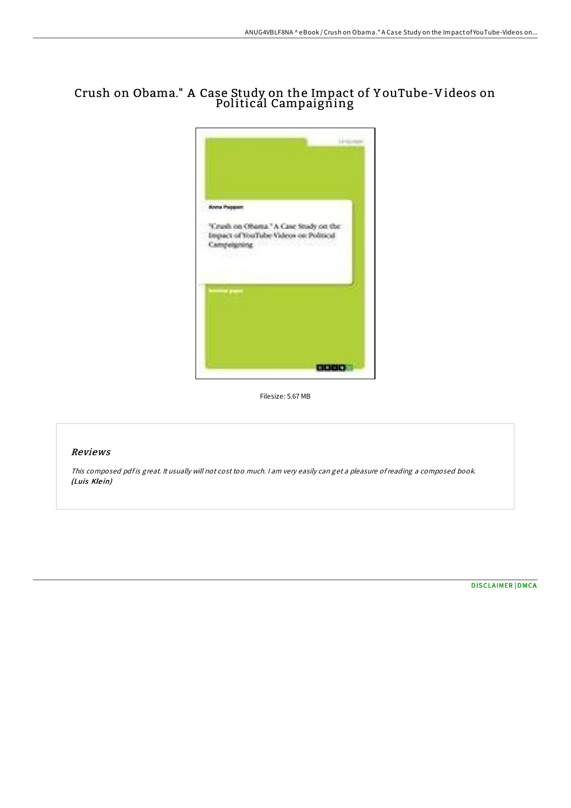## Crush on Obama." A Case Study on the Impact of Y ouTube-Videos on Politicál Campaigñing



Filesize: 5.67 MB

## Reviews

This composed pdf is great. It usually will not cost too much. I am very easily can get a pleasure of reading a composed book. (Luis Klein)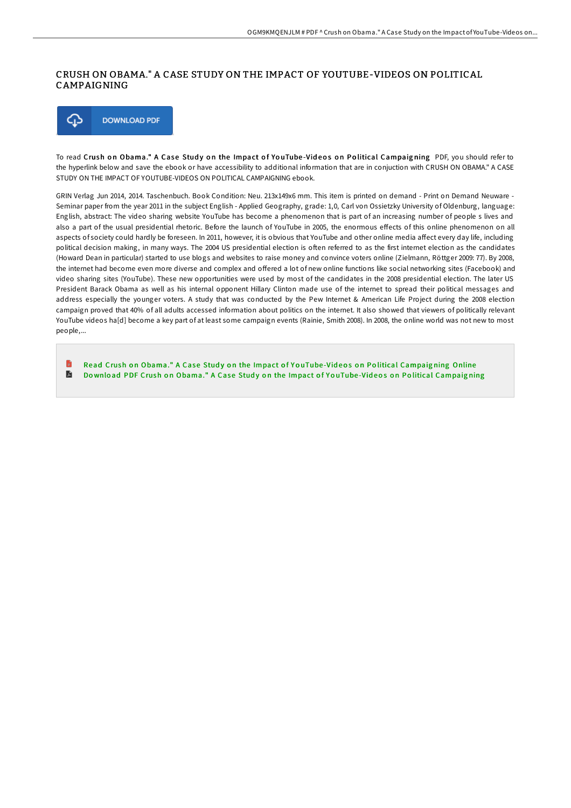## CRUSH ON OBAMA." A CASE STUDY ON THE IMPACT OF YOUTUBE-VIDEOS ON POLITICAL CAMPAIGNING



To read Crush on Obama." A Case Study on the Impact of YouTube-Videos on Political Campaigning PDF, you should refer to the hyperlink below and save the ebook or have accessibility to additional information that are in conjuction with CRUSH ON OBAMA." A CASE STUDY ON THE IMPACT OF YOUTUBE-VIDEOS ON POLITICAL CAMPAIGNING ebook.

GRIN Verlag Jun 2014, 2014. Taschenbuch. Book Condition: Neu. 213x149x6 mm. This item is printed on demand - Print on Demand Neuware - Seminar paper from the year 2011 in the subject English - Applied Geography, grade: 1,0, Carl von Ossietzky University of Oldenburg, language: English, abstract: The video sharing website YouTube has become a phenomenon that is part of an increasing number of people s lives and also a part of the usual presidential rhetoric. Before the launch of YouTube in 2005, the enormous effects of this online phenomenon on all aspects of society could hardly be foreseen. In 2011, however, it is obvious that YouTube and other online media affect every day life, including political decision making, in many ways. The 2004 US presidential election is often referred to as the first internet election as the candidates (Howard Dean in particular) started to use blogs and websites to raise money and convince voters online (Zielmann, Röttger 2009: 77). By 2008, the internet had become even more diverse and complex and offered a lot of new online functions like social networking sites (Facebook) and video sharing sites (YouTube). These new opportunities were used by most of the candidates in the 2008 presidential election. The later US President Barack Obama as well as his internal opponent Hillary Clinton made use of the internet to spread their political messages and address especially the younger voters. A study that was conducted by the Pew Internet & American Life Project during the 2008 election campaign proved that 40% of all adults accessed information about politics on the internet. It also showed that viewers of politically relevant YouTube videos ha[d] become a key part of at least some campaign events (Rainie, Smith 2008). In 2008, the online world was not new to most people,...

B Read Crush on Obama." A Case Study on the Impact of YouTube-Videos on Political [Campaig](http://almighty24.tech/crush-on-obama-quot-a-case-study-on-the-impact-o.html)ning Online  $\blacksquare$ Download PDF Crush on Obama." A Case Study on the Impact of YouTube-Videos on Political [Campaig](http://almighty24.tech/crush-on-obama-quot-a-case-study-on-the-impact-o.html)ning